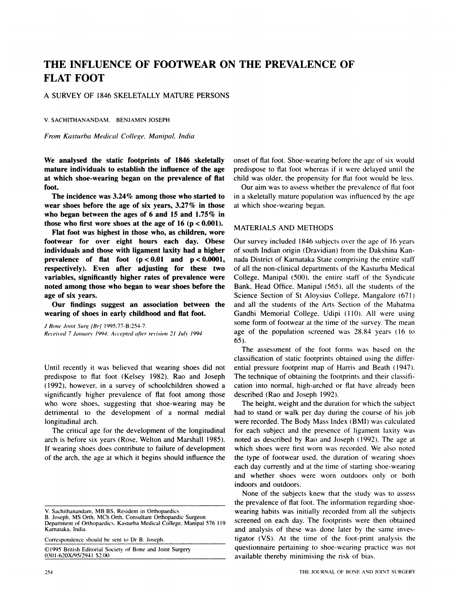# **THE INFLUENCE OF FOOTWEAR ON THE PREVALENCE OF FLAT FOOT**

A SURVEY OF 1846 SKELETALLY MATURE PERSONS

V. SACHITHANANDAM. BENJAMIN JOSEPH

*From Kasturba Medical College, Manipal, India*

**We analysed the static footprints of 1846 skeletally mature individuals to establish the influence of the age at which shoe-wearing began on the prevalence of flat** foot.

**The incidence was 3.24% among those who started to wear shoes before the age of six years, 3.27% in those who began between the ages of 6 and 15 and** *1.75%* **in those** who first wore shoes at the age of 16 ( $p < 0.001$ ).

**Flat foot was highest in those who, as children, wore footwear for over eight hours each day. Obese individuals and those with ligament laxity had a higher prevalence of flat** foot **(p** <sup>&</sup>lt; **0.01 and p** <sup>&</sup>lt; 0.0001, **respectively). Even after adjusting for these two variables, significantly higher rates of prevalence were noted among those who began to wear shoes before the age of six years.**

**Our findings suggest an association between the wearing of shoes in early childhood and flat** foot.

*J Bone Joint Siug (Br]* 1995:77-B:254-7. *Received 7 J(l,l1,(lrV* /994: *Accepted after revision 2/ Jo/v 1994*

Until recently it was believed that wearing shoes did not predispose to flat foot (Kelsey 1982). Rao and Joseph *(* 1992), however, in a survey of schoolchildren showed a significantly higher prevalence of flat foot among those who wore shoes, suggesting that shoe-wearing may be detrimental to the development of a normal medial longitudinal arch.

The critical age for the development of the longitudinal arch is before six years (Rose, Welton and Marshall 1985). If wearing shoes does contribute to failure of development of the arch, the age at which it begins should influence the

B. Joseph. MS Orth, MCh Orth. Consultant Orthopaedic Surgeon

Correspondence should be sent to Dr B. Joseph.

©1995 British Editorial Society of Bone and Joint Surgery 030 1-620X/95/294 1 S2.0()

onset of flat foot. Shoe-wearing before the age of six would predispose to flat foot whereas if it were delayed until the child was older, the propensity for flat foot would be less.

Our aim was to assess whether the prevalence of flat foot in a skeletally mature population was influenced by the age at which shoe-wearing began.

## MATERIALS AND METHODS

Our survey included 1846 subjects over the age of 16 years of south Indian origin (Dravidian) from the Dakshina Kannada District of Karnataka State comprising the entire staff of all the non-clinical departments of the Kasturba Medical College, Manipal *(500),* the entire staff of the Syndicate Bank, Head Office. Manipal *(565).* all the students of the Science Section of St Aloysius College, Mangalore (671) and all the students of the Arts Section of the Mahatma Gandhi Memorial College, Udipi (110). All were using **some form of footwear at** the time of the survey. The mean age of the population screened was  $28.84$  years (16 to 65).

The assessment of the foot forms was based on the classification of static footprints obtained using the differential pressure footprint map of Harris and Beath ( 1947). The technique of obtaining the footprints and their classification into normal, high-arched or flat have already been described (Rao and Joseph 1992).

The height, weight and the duration for which the subject had to stand or walk per day during the course of his job were recorded. The Body Mass Index (BMI) was calculated for each subject and the presence of ligament laxity was noted as described by Rao and Joseph ( 1992). The age at which shoes were first worn was recorded. We also noted the type of footwear used. the duration of wearing shoes each day currently and at the time of starting shoe-wearing and whether shoes were worn outdoors only or both indoors and outdoors.

None of the subjects knew that the study was to assess the prevalence of flat foot. The information regarding shoewearing habits was initially recorded from all the subjects screened on each day. The footprints were then obtained and analysis of these was done later by the same investigator (VS). At the time of the foot-print analysis the questionnaire pertaining to shoe-wearing practice was not available thereby minimising the risk of bias.

V. Sachithanandam. MB BS. Resident in Orthopaedics

Department of Orthopaedics. Kasturba Medical College. Manipal 576 1 19 Karnataka, India.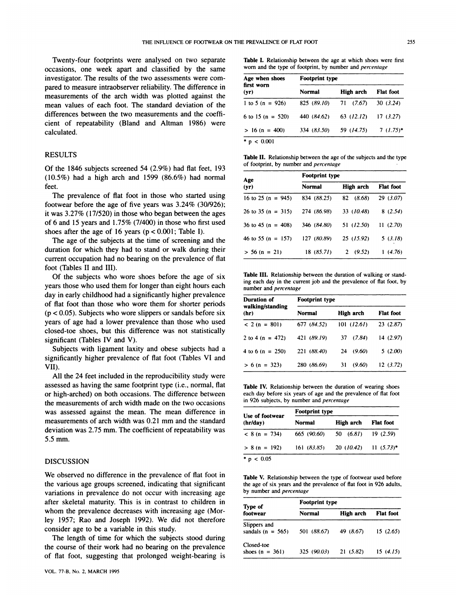Twenty-four footprints were analysed on two separate occasions, one week apart and classified by the same investigator. The results of the two assessments were com pared to measure intraobserver reliability. The difference in measurements of the arch width was plotted against the mean values of each foot. The standard deviation of the differences between the two measurements and the coefficient of repeatability (Bland and Altman 1986) were calculated.

# RESULTS

Of the 1 846 subjects screened 54 (2.9%) had flat feet, 193 *(10.5%)* had a high arch and 1599 (86.6%) had normal feet.

The prevalence of flat foot in those who started using footwear before the age of five years was 3.24% (30/926); it was 3.27% (17/520) in those who began between the ages of 6 and 15 years and  $1.75\%$  (7/400) in those who first used shoes after the age of 16 years ( $p < 0.001$ ; Table I).

The age of the subjects at the time of screening and the duration for which they had to stand or walk during their current occupation had no bearing on the prevalence of flat foot (Tables II and III).

Of the subjects who wore shoes before the age of six years those who used them for longer than eight hours each day in early childhood had a significantly higher prevalence of flat foot than those who wore them for shorter periods (p <sup>&</sup>lt; *0.05).* Subjects who wore slippers or sandals before six years of age had a lower prevalence than those who used closed-toe shoes, but this difference was not statistically significant (Tables IV and V).

Subjects with ligament laxity and obese subjects had a significantly higher prevalence of flat foot (Tables VI and VII).

All the 24 feet included in the reproducibility study were assessed as having the same footprint type (i.e., normal, flat or high-arched) on both occasions. The difference between the measurements of arch width made on the two occasions was assessed against the mean. The mean difference in measurements of arch width was 0.21 mm and the standard deviation was 2.75 mm. The coefficient of repeatability was 5.5 mm.

### **DISCUSSION**

We observed no difference in the prevalence of flat foot in the various age groups screened, indicating that significant variations in prevalence do not occur with increasing age after skeletal maturity. This is in contrast to children in whom the prevalence decreases with increasing age (Mor-Icy 1957; Rao and Joseph 1992). We did not therefore consider age to be a variable in this study.

The length of time for which the subjects stood during the course of their work had no bearing on the prevalence of flat foot, suggesting that prolonged weight-bearing is

| Age when shoes<br>first worn<br>(yr) | Footprint type |                |                  |  |  |
|--------------------------------------|----------------|----------------|------------------|--|--|
|                                      | Normal         | High arch      | <b>Flat</b> foot |  |  |
| 1 to 5 (n = 926)                     | 825 (89.10)    | 71 (7.67)      | 30(3.24)         |  |  |
| 6 to 15 (n = 520)                    | 440 (84.62)    | $63$ $(12.12)$ | 17(3.27)         |  |  |
| $> 16 (n = 400)$                     | 334 (83.50)    | 59 (14.75)     | $7(1.75)^*$      |  |  |
| * $p < 0.001$                        |                |                |                  |  |  |

**Table LI. Relationship between the age of the subjects and the type** of footprint, by number and *percentage*

| Age                   | <b>Footprint type</b> |            |                  |  |
|-----------------------|-----------------------|------------|------------------|--|
| (yr)                  | <b>Normal</b>         | High arch  | <b>Flat foot</b> |  |
| 16 to 25 (n = $945$ ) | 834 (88.25)           | 82 (8.68)  | 29(3.07)         |  |
| 26 to 35 (n = $315$ ) | 274 (86.98)           | 33 (10.48) | 8(2.54)          |  |
| 36 to 45 (n = 408)    | 346 (84.80)           | 51 (12.50) | 11(2.70)         |  |
| 46 to 55 (n = $157$ ) | 127 (80.89)           | 25 (15.92) | 5(3.18)          |  |
| $>$ 56 (n = 21)       | 18(85.71)             | 2(9.52)    | 1(4.76)          |  |

**Table III. Relationship between the duration of walking or stand**ing each day in the current job and the prevalence of flat foot, by number and *percentage*

| Duration of              | <b>Footprint type</b> |              |                  |  |
|--------------------------|-----------------------|--------------|------------------|--|
| walking/standing<br>(hr) | <b>Normal</b>         | High arch    | <b>Flat foot</b> |  |
| $< 2 (n = 801)$          | 677 (84.52)           | 101 (12.61)  | 23(2.87)         |  |
| 2 to 4 (n = 472)         | 421 (89.19)           | 37 (7.84)    | 14 (2.97)        |  |
| 4 to 6 (n = $250$ )      | 221 (88.40)           | (9.60)<br>24 | 5(2.00)          |  |
| $> 6 (n = 323)$          | 280 (86.69)           | (9.60)<br>31 | 12(3.72)         |  |

**Table IV. Relationship between the duration of wearing** shoes each day before six years of age and the prevalence of flat foot in 926 subjects, by number and *percentage*

| Use of footwear | <b>Footprint type</b> |                         |                  |  |  |
|-----------------|-----------------------|-------------------------|------------------|--|--|
| (hr/day)        | <b>Normal</b>         | High arch               | <b>Flat foot</b> |  |  |
| $< 8$ (n = 734) | 665 (90.60)           | 50(6.81)                | 19(2.59)         |  |  |
| $> 8$ (n = 192) | 161(83.85)            | $20$ (10.42) 11 (5.73)* |                  |  |  |

**Table V. Relationship between the type of footwear used before** the age of six years and the prevalence of flat foot in 926 adults, by number and *percentage*

| Type of                               | <b>Footprint type</b> |                  |                  |  |  |  |
|---------------------------------------|-----------------------|------------------|------------------|--|--|--|
| footwear                              | <b>Normal</b>         | <b>High arch</b> | <b>Flat</b> foot |  |  |  |
| Slippers and<br>sandals ( $n = 565$ ) | 501 (88.67)           | 49 (8.67)        | 15(2.65)         |  |  |  |
| Closed-toe<br>shoes $(n = 361)$       | 325(90.03)            | 21(5.82)         | 15(4.15)         |  |  |  |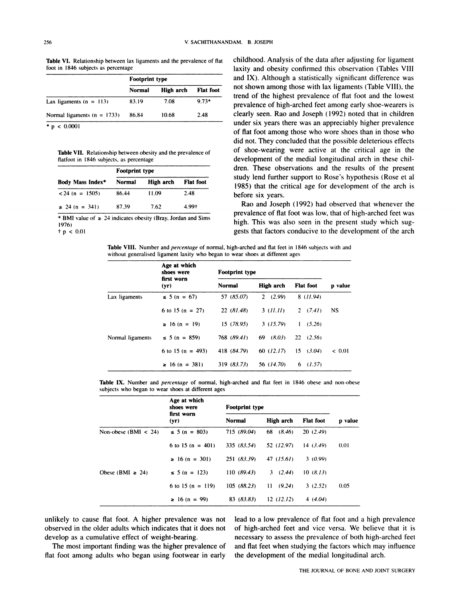**Table VI.** Relationship between lax ligaments and the prevalence of flat foot in 1846 subjects as percentage

|                                 | <b>Footprint type</b> |           |                  |  |
|---------------------------------|-----------------------|-----------|------------------|--|
|                                 | <b>Normal</b>         | High arch | <b>Flat</b> foot |  |
| Lax ligaments $(n = 113)$       | 83.19                 | 7.08      | $9.73*$          |  |
| Normal ligaments ( $n = 1733$ ) | 86.84                 | 10.68     | 2.48             |  |
| * $p < 0.0001$                  |                       |           |                  |  |

**Table VII.** Relationship between obesity and the prevalence of flatfoot in I846 subjects, as percentage

|                         | <b>Footprint type</b> |           |                  |  |  |
|-------------------------|-----------------------|-----------|------------------|--|--|
| <b>Body Mass Index*</b> | <b>Normal</b>         | High arch | <b>Flat foot</b> |  |  |
| $< 24$ (n = 1505)       | 86.44                 | 11.09     | 2.48             |  |  |
| $\geq$ 24 (n = 341)     | 87.39                 | 7.62      | 4.99+            |  |  |

\* **BMI value of a** 24 indicates obesity (Bray. Jordan and Sims 1976) t p *<sup>&</sup>lt;* 0.01

childhood. Analysis of the data after adjusting for ligament laxity and obesity confirmed this observation (Tables VIII and IX). Although a statistically significant difference was not shown among those with lax ligaments (Table VIII), the trend of the highest prevalence of flat foot and the lowest prevalence of high-arched feet among early shoe-wearers is clearly seen. Rao and Joseph (1992) noted that in children under six years there was an appreciably higher prevalence of flat foot among those who wore shoes than in those who did not. They concluded that the possible deleterious effects of shoe-wearing were active at the critical age in the development of the medial longitudinal arch in these children. These observations and the results of the present study lend further support to Rose's hypothesis (Rose et al 1985) that the critical age for development of the arch is before six years.

Rao and Joseph (1992) had observed that whenever the prevalence of flat foot was low, that of high-arched feet was high. This was also seen in the present study which suggests that factors conducive to the development of the arch

**Table VIII.** Number and *percentage* of normal, high-arched and flat feet in 1846 subjects with and without generalised ligament laxity who began to wear shoes at different ages

|                  | Age at which<br>shoes were<br>first worn<br>(yr) | <b>Footprint type</b> |               |                        |           |
|------------------|--------------------------------------------------|-----------------------|---------------|------------------------|-----------|
|                  |                                                  | Normal                | High arch     | <b>Flat foot</b>       | p value   |
| Lax ligaments    | $5 (n = 67)$                                     | 57 (85.07)            | 2(2.99)       | 8(11.94)               |           |
|                  | 6 to 15 (n = $27$ )                              | 22(81.48)             | 3(11.11)      | 2(7.41)                | <b>NS</b> |
|                  | $\geq 16$ (n = 19)                               | 15(78.95)             | 3(15.79)      | $\mathbf{1}$<br>(5.26) |           |
| Normal ligaments | $\leq$ 5 (n = 859)                               | 768 (89.41)           | $69$ $(8.03)$ | 22(2.56)               |           |
|                  | 6 to 15 (n = 493)                                | 418 (84.79)           | 60(12.17)     | 15(3.04)               | < 0.01    |
|                  | $\geq 16$ (n = 381)                              | 319(83.73)            | 56 (14.70)    | 6(1.57)                |           |

**Table IX. Number and** *percentage* of normal, high-arched and flat feet in I 846 obese and non-obese subjects who began to wear shoes at different ages

|                        | Age at which<br>shoes were<br>first worn<br>(yr) | <b>Footprint type</b> |            |                  |         |
|------------------------|--------------------------------------------------|-----------------------|------------|------------------|---------|
|                        |                                                  | <b>Normal</b>         | High arch  | <b>Flat foot</b> | p value |
| Non-obese (BMI $<$ 24) | $5 (n = 803)$                                    | 715 (89.04)           | 68 (8.46)  | 20(2.49)         |         |
|                        | 6 to 15 (n = 401)                                | 335 (83.54)           | 52 (12.97) | 14(3.49)         | 0.01    |
|                        | $\geq 16$ (n = 301)                              | 251 (83.39)           | 47(15.61)  | 3(0.99)          |         |
| Obese (BMI $\geq$ 24)  | $\leq$ 5 (n = 123)                               | 110(89.43)            | 3(2.44)    | 10(8.13)         |         |
|                        | 6 to 15 (n = 119)                                | 105(88.23)            | 11(9.24)   | 3(2.52)          | 0.05    |
|                        | $\geq 16$ (n = 99)                               | 83(83.83)             | 12(12.12)  | 4(4.04)          |         |

unlikely to cause flat foot. A higher prevalence was not observed in the older adults which indicates that it does not develop as a cumulative effect of weight-bearing.

The most important finding was the higher prevalence of flat foot among adults who began using footwear in early

lead to a low prevalence of flat foot and a high prevalence of high-arched feet and vice versa. We believe that it is **necessary to assess** the prevalence of both high-arched feet and flat feet when studying the factors which may influence the development of the medial longitudinal arch.